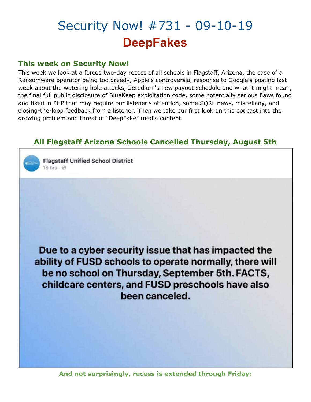## Security Now! #731 - 09-10-19 **DeepFakes**

## **This week on Security Now!**

This week we look at a forced two-day recess of all schools in Flagstaff, Arizona, the case of a Ransomware operator being too greedy, Apple's controversial response to Google's posting last week about the watering hole attacks, Zerodium's new payout schedule and what it might mean, the final full public disclosure of BlueKeep exploitation code, some potentially serious flaws found and fixed in PHP that may require our listener's attention, some SQRL news, miscellany, and closing-the-loop feedback from a listener. Then we take our first look on this podcast into the growing problem and threat of "DeepFake" media content.

## **All Flagstaff Arizona Schools Cancelled Thursday, August 5th**



Due to a cyber security issue that has impacted the ability of FUSD schools to operate normally, there will be no school on Thursday, September 5th. FACTS, childcare centers, and FUSD preschools have also been canceled.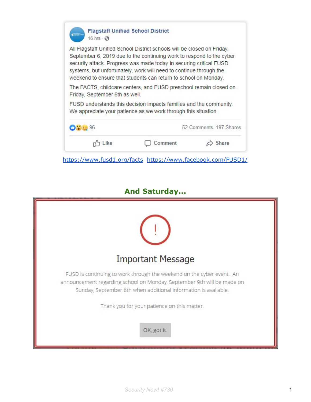| All Flagstaff Unified School District schools will be closed on Friday,<br>September 6, 2019 due to the continuing work to respond to the cyber<br>security attack. Progress was made today in securing critical FUSD<br>systems, but unfortunately, work will need to continue through the<br>weekend to ensure that students can return to school on Monday. |                                                                                                                                      |                        |  |
|----------------------------------------------------------------------------------------------------------------------------------------------------------------------------------------------------------------------------------------------------------------------------------------------------------------------------------------------------------------|--------------------------------------------------------------------------------------------------------------------------------------|------------------------|--|
| Friday, September 6th as well.                                                                                                                                                                                                                                                                                                                                 | The FACTS, childcare centers, and FUSD preschool remain closed on.                                                                   |                        |  |
|                                                                                                                                                                                                                                                                                                                                                                | FUSD understands this decision impacts families and the community.<br>We appreciate your patience as we work through this situation. |                        |  |
| 0.33396                                                                                                                                                                                                                                                                                                                                                        |                                                                                                                                      | 52 Comments 197 Shares |  |
|                                                                                                                                                                                                                                                                                                                                                                |                                                                                                                                      |                        |  |

## **And Saturday...**

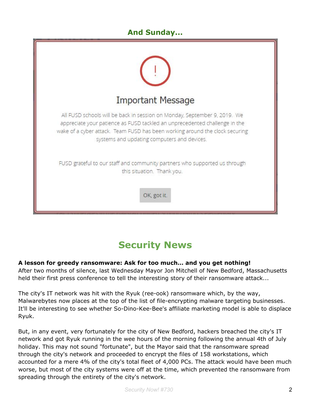## **And Sunday...**



## **Security News**

#### **A lesson for greedy ransomware: Ask for too much… and you get nothing!**

After two months of silence, last Wednesday Mayor Jon Mitchell of New Bedford, Massachusetts held their first press conference to tell the interesting story of their ransomware attack...

The city's IT network was hit with the Ryuk (ree-ook) ransomware which, by the way, Malwarebytes now places at the top of the list of file-encrypting malware targeting businesses. It'll be interesting to see whether So-Dino-Kee-Bee's affiliate marketing model is able to displace Ryuk.

But, in any event, very fortunately for the city of New Bedford, hackers breached the city's IT network and got Ryuk running in the wee hours of the morning following the annual 4th of July holiday. This may not sound "fortunate", but the Mayor said that the ransomware spread through the city's network and proceeded to encrypt the files of 158 workstations, which accounted for a mere 4% of the city's total fleet of 4,000 PCs. The attack would have been much worse, but most of the city systems were off at the time, which prevented the ransomware from spreading through the entirety of the city's network.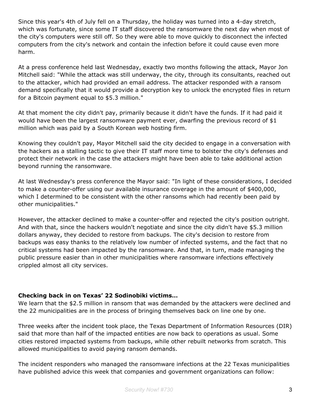Since this year's 4th of July fell on a Thursday, the holiday was turned into a 4-day stretch, which was fortunate, since some IT staff discovered the ransomware the next day when most of the city's computers were still off. So they were able to move quickly to disconnect the infected computers from the city's network and contain the infection before it could cause even more harm.

At a press conference held last Wednesday, exactly two months following the attack, Mayor Jon Mitchell said: "While the attack was still underway, the city, through its consultants, reached out to the attacker, which had provided an email address. The attacker responded with a ransom demand specifically that it would provide a decryption key to unlock the encrypted files in return for a Bitcoin payment equal to \$5.3 million."

At that moment the city didn't pay, primarily because it didn't have the funds. If it had paid it would have been the largest ransomware payment ever, dwarfing the previous record of \$1 million which was paid by a South Korean web hosting firm.

Knowing they couldn't pay, Mayor Mitchell said the city decided to engage in a conversation with the hackers as a stalling tactic to give their IT staff more time to bolster the city's defenses and protect their network in the case the attackers might have been able to take additional action beyond running the ransomware.

At last Wednesday's press conference the Mayor said: "In light of these considerations, I decided to make a counter-offer using our available insurance coverage in the amount of \$400,000, which I determined to be consistent with the other ransoms which had recently been paid by other municipalities."

However, the attacker declined to make a counter-offer and rejected the city's position outright. And with that, since the hackers wouldn't negotiate and since the city didn't have \$5.3 million dollars anyway, they decided to restore from backups. The city's decision to restore from backups was easy thanks to the relatively low number of infected systems, and the fact that no critical systems had been impacted by the ransomware. And that, in turn, made managing the public pressure easier than in other municipalities where ransomware infections effectively crippled almost all city services.

#### **Checking back in on Texas' 22 Sodinobiki victims…**

We learn that the \$2.5 million in ransom that was demanded by the attackers were declined and the 22 municipalities are in the process of bringing themselves back on line one by one.

Three weeks after the incident took place, the Texas Department of Information Resources (DIR) said that more than half of the impacted entities are now back to operations as usual. Some cities restored impacted systems from backups, while other rebuilt networks from scratch. This allowed municipalities to avoid paying ransom demands.

The incident responders who managed the ransomware infections at the 22 Texas municipalities have published advice this week that companies and government organizations can follow: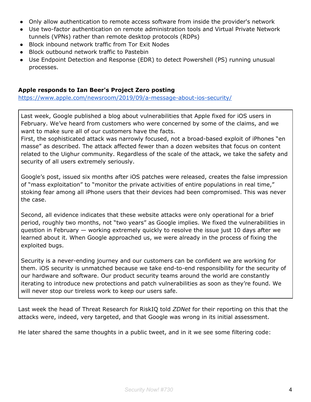- Only allow authentication to remote access software from inside the provider's network
- Use two-factor authentication on remote administration tools and Virtual Private Network tunnels (VPNs) rather than remote desktop protocols (RDPs)
- Block inbound network traffic from Tor Exit Nodes
- Block outbound network traffic to Pastebin
- Use Endpoint Detection and Response (EDR) to detect Powershell (PS) running unusual processes.

#### **Apple responds to Ian Beer's Project Zero posting**

<https://www.apple.com/newsroom/2019/09/a-message-about-ios-security/>

Last week, Google published a blog about vulnerabilities that Apple fixed for iOS users in February. We've heard from customers who were concerned by some of the claims, and we want to make sure all of our customers have the facts.

First, the sophisticated attack was narrowly focused, not a broad-based exploit of iPhones "en masse" as described. The attack affected fewer than a dozen websites that focus on content related to the Uighur community. Regardless of the scale of the attack, we take the safety and security of all users extremely seriously.

Google's post, issued six months after iOS patches were released, creates the false impression of "mass exploitation" to "monitor the private activities of entire populations in real time," stoking fear among all iPhone users that their devices had been compromised. This was never the case.

Second, all evidence indicates that these website attacks were only operational for a brief period, roughly two months, not "two years" as Google implies. We fixed the vulnerabilities in question in February — working extremely quickly to resolve the issue just 10 days after we learned about it. When Google approached us, we were already in the process of fixing the exploited bugs.

Security is a never-ending journey and our customers can be confident we are working for them. iOS security is unmatched because we take end-to-end responsibility for the security of our hardware and software. Our product security teams around the world are constantly iterating to introduce new protections and patch vulnerabilities as soon as they're found. We will never stop our tireless work to keep our users safe.

Last week the head of Threat Research for RiskIQ told *ZDNet* for their reporting on this that the attacks were, indeed, very targeted, and that Google was wrong in its initial assessment.

He later shared the same thoughts in a public tweet, and in it we see some filtering code: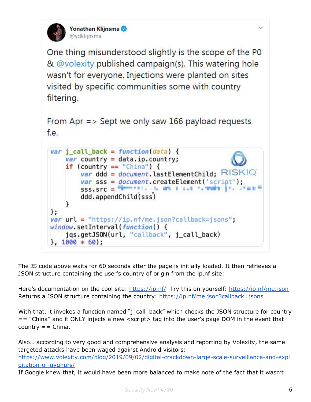

One thing misunderstood slightly is the scope of the P0 & @volexity published campaign(s). This watering hole wasn't for everyone. Injections were planted on sites visited by specific communities some with country filtering.

```
From Apr => Sept we only saw 166 payload requests
f.e.
```


The JS code above waits for 60 seconds after the page is initially loaded. It then retrieves a JSON structure containing the user's country of origin from the ip.nf site:

Here's documentation on the cool site: <https://ip.nf/> Try this on yourself: <https://ip.nf/me.json> Returns a JSON structure containing the country: <https://ip.nf/me.json?callback=jsons>

With that, it invokes a function named "j\_call\_back" which checks the JSON structure for country == "China" and it ONLY injects a new <script> tag into the user's page DOM in the event that  $counter = China.$ 

Also… according to very good and comprehensive analysis and reporting by Volexity, the same targeted attacks have been waged against Android visitors: [https://www.volexity.com/blog/2019/09/02/digital-crackdown-large-scale-surveillance-and-expl](https://www.volexity.com/blog/2019/09/02/digital-crackdown-large-scale-surveillance-and-exploitation-of-uyghurs/) [oitation-of-uyghurs/](https://www.volexity.com/blog/2019/09/02/digital-crackdown-large-scale-surveillance-and-exploitation-of-uyghurs/)

If Google knew that, it would have been more balanced to make note of the fact that it wasn't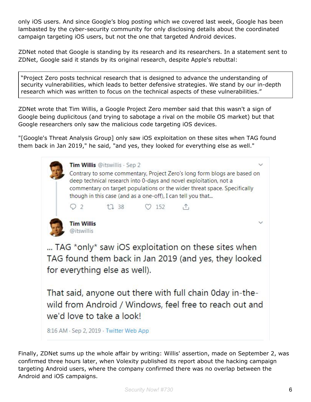only iOS users. And since Google's blog posting which we covered last week, Google has been lambasted by the cyber-security community for only disclosing details about the coordinated campaign targeting iOS users, but not the one that targeted Android devices.

ZDNet noted that Google is standing by its research and its researchers. In a statement sent to ZDNet, Google said it stands by its original research, despite Apple's rebuttal:

"Project Zero posts technical research that is designed to advance the understanding of security vulnerabilities, which leads to better defensive strategies. We stand by our in-depth research which was written to focus on the technical aspects of these vulnerabilities."

ZDNet wrote that Tim Willis, a Google Project Zero member said that this wasn't a sign of Google being duplicitous (and trying to sabotage a rival on the mobile OS market) but that Google researchers only saw the malicious code targeting iOS devices.

"[Google's Threat Analysis Group] only saw iOS exploitation on these sites when TAG found them back in Jan 2019," he said, "and yes, they looked for everything else as well."



8:16 AM · Sep 2, 2019 · Twitter Web App

Finally, ZDNet sums up the whole affair by writing: Willis' assertion, made on September 2, was confirmed three hours later, when Volexity published its report about the hacking campaign targeting Android users, where the company confirmed there was no overlap between the Android and iOS campaigns.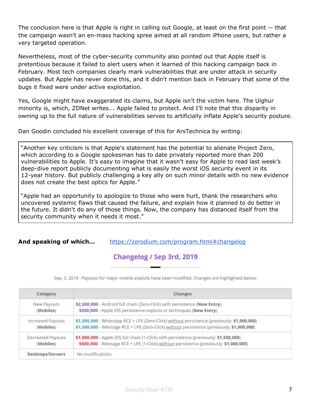The conclusion here is that Apple is right in calling out Google, at least on the first point -- that the campaign wasn't an en-mass hacking spree aimed at all random iPhone users, but rather a very targeted operation.

Nevertheless, most of the cyber-security community also pointed out that Apple itself is pretentious because it failed to alert users when it learned of this hacking campaign back in February. Most tech companies clearly mark vulnerabilities that are under attack in security updates. But Apple has never done this, and it didn't mention back in February that some of the bugs it fixed were under active exploitation.

Yes, Google might have exaggerated its claims, but Apple isn't the victim here. The Uighur minority is, which, ZDNet writes... Apple failed to protect. And I'll note that this disparity in owning up to the full nature of vulnerabilities serves to artificially inflate Apple's security posture.

Dan Goodin concluded his excellent coverage of this for ArsTechnica by writing:

"Another key criticism is that Apple's statement has the potential to alienate Project Zero, which according to a Google spokesman has to date privately reported more than 200 vulnerabilities to Apple. It's easy to imagine that it wasn't easy for Apple to read last week's deep-dive report publicly documenting what is easily the worst iOS security event in its 12-year history. But publicly challenging a key ally on such minor details with no new evidence does not create the best optics for Apple."

"Apple had an opportunity to apologize to those who were hurt, thank the researchers who uncovered systemic flaws that caused the failure, and explain how it planned to do better in the future. It didn't do any of those things. Now, the company has distanced itself from the security community when it needs it most."

**And speaking of which…** <https://zerodium.com/program.html#changelog>

## Changelog / Sep 3rd, 2019

Sep. 3, 2019 - Payouts for major mobile exploits have been modified. Changes are highlighted below:

| Category          | Changes                                                                                     |  |
|-------------------|---------------------------------------------------------------------------------------------|--|
| New Payouts       | \$2,500,000 - Android full chain (Zero-Click) with persistence (New Entry)                  |  |
| (Mobiles)         | \$500,000 - Apple iOS persistence exploits or techniques (New Entry)                        |  |
| Increased Payouts | \$1,500,000 - WhatsApp RCE + LPE (Zero-Click) without persistence (previously: \$1,000,000) |  |
| (Mobiles)         | \$1,500,000 - iMessage RCE + LPE (Zero-Click) without persistence (previously: \$1,000,000) |  |
| Decreased Payouts | \$1,000,000 - Apple iOS full chain (1-Click) with persistence (previously: \$1,500,000)     |  |
| (Mobiles)         | \$500,000 - iMessage RCE + LPE (1-Click) without persistence (previously: \$1,000,000)      |  |
| Desktops/Servers  | No modifications.                                                                           |  |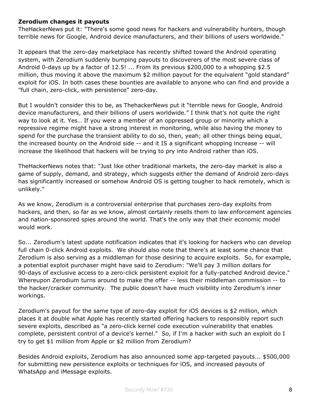#### **Zerodium changes it payouts**

TheHackerNews put it: "There's some good news for hackers and vulnerability hunters, though terrible news for Google, Android device manufacturers, and their billions of users worldwide."

It appears that the zero-day marketplace has recently shifted toward the Android operating system, with Zerodium suddenly bumping payouts to discoverers of the most severe class of Android 0-days up by a factor of 12.5! ... From its previous \$200,000 to a whopping \$2.5 million, thus moving it above the maximum \$2 million payout for the equivalent "gold standard" exploit for iOS. In both cases these bounties are available to anyone who can find and provide a "full chain, zero-click, with persistence" zero-day.

But I wouldn't consider this to be, as ThehackerNews put it "terrible news for Google, Android device manufacturers, and their billions of users worldwide." I think that's not quite the right way to look at it. Yes… If you were a member of an oppressed group or minority which a repressive regime might have a strong interest in monitoring, while also having the money to spend for the purchase the transient ability to do so, then, yeah; all other things being equal, the increased bounty on the Android side -- and it IS a significant whopping increase -- will increase the likelihood that hackers will be trying to pry into Android rather than iOS.

TheHackerNews notes that: "Just like other traditional markets, the zero-day market is also a game of supply, demand, and strategy, which suggests either the demand of Android zero-days has significantly increased or somehow Android OS is getting tougher to hack remotely, which is unlikely."

As we know, Zerodium is a controversial enterprise that purchases zero-day exploits from hackers, and then, so far as we know, almost certainly resells them to law enforcement agencies and nation-sponsored spies around the world. That's the only way that their economic model would work.

So... Zerodium's latest update notification indicates that it's looking for hackers who can develop full chain 0-click Android exploits. We should also note that there's at least some chance that Zerodium is also serving as a middleman for those desiring to acquire exploits. So, for example, a potential exploit purchaser might have said to Zerodium: "We'll pay 3 million dollars for 90-days of exclusive access to a zero-click persistent exploit for a fully-patched Android device." Whereupon Zerodium turns around to make the offer -- less their middleman commission -- to the hacker/cracker community. The public doesn't have much visibility into Zerodium's inner workings.

Zerodium's payout for the same type of zero-day exploit for iOS devices is \$2 million, which places it at double what Apple has recently started offering hackers to responsibly report such severe exploits, described as "a zero-click kernel code execution vulnerability that enables complete, persistent control of a device's kernel." So, if I'm a hacker with such an exploit do I try to get \$1 million from Apple or \$2 million from Zerodium?

Besides Android exploits, Zerodium has also announced some app-targeted payouts... \$500,000 for submitting new persistence exploits or techniques for iOS, and increased payouts of WhatsApp and iMessage exploits.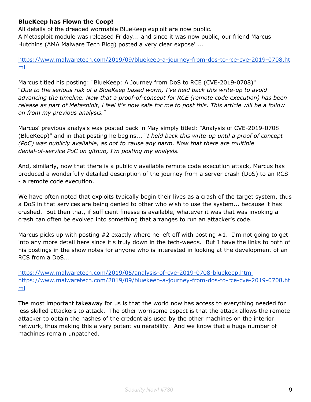#### **BlueKeep has Flown the Coop!**

All details of the dreaded wormable BlueKeep exploit are now public. A Metasploit module was released Friday... and since it was now public, our friend Marcus Hutchins (AMA Malware Tech Blog) posted a very clear expose' ...

[https://www.malwaretech.com/2019/09/bluekeep-a-journey-from-dos-to-rce-cve-2019-0708.ht](https://www.malwaretech.com/2019/09/bluekeep-a-journey-from-dos-to-rce-cve-2019-0708.html) [ml](https://www.malwaretech.com/2019/09/bluekeep-a-journey-from-dos-to-rce-cve-2019-0708.html)

Marcus titled his posting: "BlueKeep: A Journey from DoS to RCE (CVE-2019-0708)" "*Due to the serious risk of a BlueKeep based worm, I've held back this write-up to avoid advancing the timeline. Now that a proof-of-concept for RCE (remote code execution) has been* release as part of Metasploit, i feel it's now safe for me to post this. This article will be a follow *on from my previous analysis.*"

Marcus' previous analysis was posted back in May simply titled: "Analysis of CVE-2019-0708 (BlueKeep)" and in that posting he begins... "*I held back this write-up until a proof of concept (PoC) was publicly available, as not to cause any harm. Now that there are multiple denial-of-service PoC on github, I'm posting my analysis.*"

And, similarly, now that there is a publicly available remote code execution attack, Marcus has produced a wonderfully detailed description of the journey from a server crash (DoS) to an RCS - a remote code execution.

We have often noted that exploits typically begin their lives as a crash of the target system, thus a DoS in that services are being denied to other who wish to use the system... because it has crashed. But then that, if sufficient finesse is available, whatever it was that was invoking a crash can often be evolved into something that arranges to run an attacker's code.

Marcus picks up with posting  $#2$  exactly where he left off with posting  $#1$ . I'm not going to get into any more detail here since it's truly down in the tech-weeds. But I have the links to both of his postings in the show notes for anyone who is interested in looking at the development of an RCS from a DoS...

<https://www.malwaretech.com/2019/05/analysis-of-cve-2019-0708-bluekeep.html> [https://www.malwaretech.com/2019/09/bluekeep-a-journey-from-dos-to-rce-cve-2019-0708.ht](https://www.malwaretech.com/2019/09/bluekeep-a-journey-from-dos-to-rce-cve-2019-0708.html) [ml](https://www.malwaretech.com/2019/09/bluekeep-a-journey-from-dos-to-rce-cve-2019-0708.html)

The most important takeaway for us is that the world now has access to everything needed for less skilled attackers to attack. The other worrisome aspect is that the attack allows the remote attacker to obtain the hashes of the credentials used by the other machines on the interior network, thus making this a very potent vulnerability. And we know that a huge number of machines remain unpatched.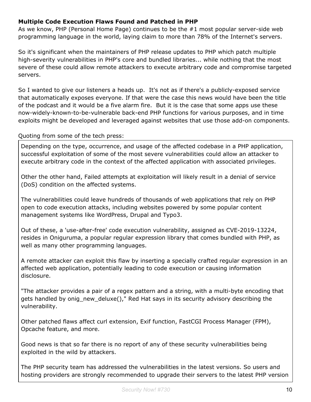#### **Multiple Code Execution Flaws Found and Patched in PHP**

As we know, PHP (Personal Home Page) continues to be the #1 most popular server-side web programming language in the world, laying claim to more than 78% of the Internet's servers.

So it's significant when the maintainers of PHP release updates to PHP which patch multiple high-severity vulnerabilities in PHP's core and bundled libraries... while nothing that the most severe of these could allow remote attackers to execute arbitrary code and compromise targeted servers.

So I wanted to give our listeners a heads up. It's not as if there's a publicly-exposed service that automatically exposes everyone. If that were the case this news would have been the title of the podcast and it would be a five alarm fire. But it is the case that some apps use these now-widely-known-to-be-vulnerable back-end PHP functions for various purposes, and in time exploits might be developed and leveraged against websites that use those add-on components.

#### Quoting from some of the tech press:

Depending on the type, occurrence, and usage of the affected codebase in a PHP application, successful exploitation of some of the most severe vulnerabilities could allow an attacker to execute arbitrary code in the context of the affected application with associated privileges.

Other the other hand, Failed attempts at exploitation will likely result in a denial of service (DoS) condition on the affected systems.

The vulnerabilities could leave hundreds of thousands of web applications that rely on PHP open to code execution attacks, including websites powered by some popular content management systems like WordPress, Drupal and Typo3.

Out of these, a 'use-after-free' code execution vulnerability, assigned as CVE-2019-13224, resides in Oniguruma, a popular regular expression library that comes bundled with PHP, as well as many other programming languages.

A remote attacker can exploit this flaw by inserting a specially crafted regular expression in an affected web application, potentially leading to code execution or causing information disclosure.

"The attacker provides a pair of a regex pattern and a string, with a multi-byte encoding that gets handled by onig\_new\_deluxe()," Red Hat says in its security advisory describing the vulnerability.

Other patched flaws affect curl extension, Exif function, FastCGI Process Manager (FPM), Opcache feature, and more.

Good news is that so far there is no report of any of these security vulnerabilities being exploited in the wild by attackers.

The PHP security team has addressed the vulnerabilities in the latest versions. So users and hosting providers are strongly recommended to upgrade their servers to the latest PHP version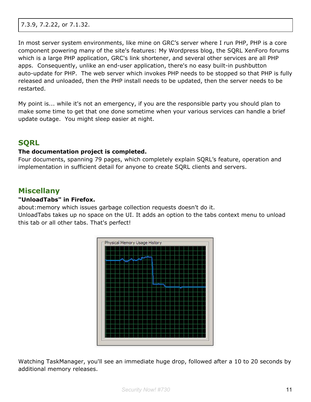In most server system environments, like mine on GRC's server where I run PHP, PHP is a core component powering many of the site's features: My Wordpress blog, the SQRL XenForo forums which is a large PHP application, GRC's link shortener, and several other services are all PHP apps. Consequently, unlike an end-user application, there's no easy built-in pushbutton auto-update for PHP. The web server which invokes PHP needs to be stopped so that PHP is fully released and unloaded, then the PHP install needs to be updated, then the server needs to be restarted.

My point is... while it's not an emergency, if you are the responsible party you should plan to make some time to get that one done sometime when your various services can handle a brief update outage. You might sleep easier at night.

## **SQRL**

#### **The documentation project is completed.**

Four documents, spanning 79 pages, which completely explain SQRL's feature, operation and implementation in sufficient detail for anyone to create SQRL clients and servers.

## **Miscellany**

#### **"UnloadTabs" in Firefox.**

about:memory which issues garbage collection requests doesn't do it.

UnloadTabs takes up no space on the UI. It adds an option to the tabs context menu to unload this tab or all other tabs. That's perfect!



Watching TaskManager, you'll see an immediate huge drop, followed after a 10 to 20 seconds by additional memory releases.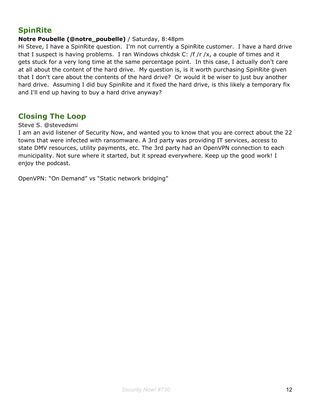## **SpinRite**

#### **Notre Poubelle (@notre\_poubelle)** / Saturday, 8:48pm

Hi Steve, I have a SpinRite question. I'm not currently a SpinRite customer. I have a hard drive that I suspect is having problems. I ran Windows chkdsk C: /f /r /x, a couple of times and it gets stuck for a very long time at the same percentage point. In this case, I actually don't care at all about the content of the hard drive. My question is, is it worth purchasing SpinRite given that I don't care about the contents of the hard drive? Or would it be wiser to just buy another hard drive. Assuming I did buy SpinRite and it fixed the hard drive, is this likely a temporary fix and I'll end up having to buy a hard drive anyway?

## **Closing The Loop**

#### Steve S. @stevedsmi

I am an avid listener of Security Now, and wanted you to know that you are correct about the 22 towns that were infected with ransomware. A 3rd party was providing IT services, access to state DMV resources, utility payments, etc. The 3rd party had an OpenVPN connection to each municipality. Not sure where it started, but it spread everywhere. Keep up the good work! I enjoy the podcast.

OpenVPN: "On Demand" vs "Static network bridging"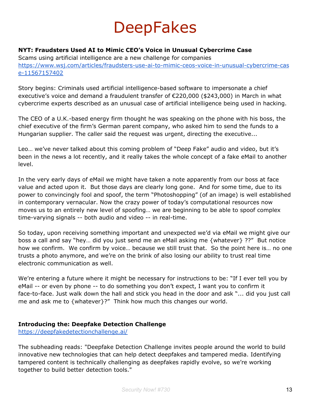# **DeepFakes**

#### **NYT: Fraudsters Used AI to Mimic CEO's Voice in Unusual Cybercrime Case**

Scams using artificial intelligence are a new challenge for companies [https://www.wsj.com/articles/fraudsters-use-ai-to-mimic-ceos-voice-in-unusual-cybercrime-cas](https://www.wsj.com/articles/fraudsters-use-ai-to-mimic-ceos-voice-in-unusual-cybercrime-case-11567157402) [e-11567157402](https://www.wsj.com/articles/fraudsters-use-ai-to-mimic-ceos-voice-in-unusual-cybercrime-case-11567157402)

Story begins: Criminals used artificial intelligence-based software to impersonate a chief executive's voice and demand a fraudulent transfer of €220,000 (\$243,000) in March in what cybercrime experts described as an unusual case of artificial intelligence being used in hacking.

The CEO of a U.K.-based energy firm thought he was speaking on the phone with his boss, the chief executive of the firm's German parent company, who asked him to send the funds to a Hungarian supplier. The caller said the request was urgent, directing the executive...

Leo… we've never talked about this coming problem of "Deep Fake" audio and video, but it's been in the news a lot recently, and it really takes the whole concept of a fake eMail to another level.

In the very early days of eMail we might have taken a note apparently from our boss at face value and acted upon it. But those days are clearly long gone. And for some time, due to its power to convincingly fool and spoof, the term "Photoshopping" (of an image) is well established in contemporary vernacular. Now the crazy power of today's computational resources now moves us to an entirely new level of spoofing… we are beginning to be able to spoof complex time-varying signals -- both audio and video -- in real-time.

So today, upon receiving something important and unexpected we'd via eMail we might give our boss a call and say "hey… did you just send me an eMail asking me {whatever} ??" But notice how we confirm. We confirm by voice… because we still trust that. So the point here is… no one trusts a photo anymore, and we're on the brink of also losing our ability to trust real time electronic communication as well.

We're entering a future where it might be necessary for instructions to be: "If I ever tell you by eMail -- or even by phone -- to do something you don't expect, I want you to confirm it face-to-face. Just walk down the hall and stick you head in the door and ask "... did you just call me and ask me to {whatever}?" Think how much this changes our world.

#### **Introducing the: Deepfake Detection Challenge**

<https://deepfakedetectionchallenge.ai/>

The subheading reads: "Deepfake Detection Challenge invites people around the world to build innovative new technologies that can help detect deepfakes and tampered media. Identifying tampered content is technically challenging as deepfakes rapidly evolve, so we're working together to build better detection tools."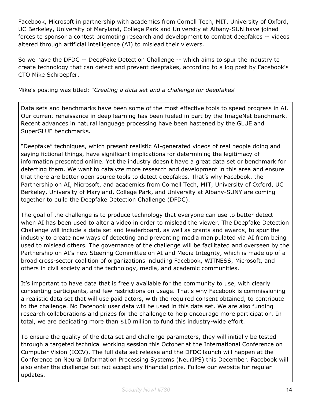Facebook, Microsoft in partnership with academics from Cornell Tech, MIT, University of Oxford, UC Berkeley, University of Maryland, College Park and University at Albany-SUN have joined forces to sponsor a contest promoting research and development to combat deepfakes -- videos altered through artificial intelligence (AI) to mislead their viewers.

So we have the DFDC -- DeepFake Detection Challenge -- which aims to spur the industry to create technology that can detect and prevent deepfakes, according to a log post by Facebook's CTO Mike Schroepfer.

Mike's posting was titled: "*Creating a data set and a challenge for deepfakes*"

Data sets and benchmarks have been some of the most effective tools to speed progress in AI. Our current renaissance in deep learning has been fueled in part by the ImageNet benchmark. Recent advances in natural language processing have been hastened by the GLUE and SuperGLUE benchmarks.

"Deepfake" techniques, which present realistic AI-generated videos of real people doing and saying fictional things, have significant implications for determining the legitimacy of information presented online. Yet the industry doesn't have a great data set or benchmark for detecting them. We want to catalyze more research and development in this area and ensure that there are better open source tools to detect deepfakes. That's why Facebook, the Partnership on AI, Microsoft, and academics from Cornell Tech, MIT, University of Oxford, UC Berkeley, University of Maryland, College Park, and University at Albany-SUNY are coming together to build the Deepfake Detection Challenge (DFDC).

The goal of the challenge is to produce technology that everyone can use to better detect when AI has been used to alter a video in order to mislead the viewer. The Deepfake Detection Challenge will include a data set and leaderboard, as well as grants and awards, to spur the industry to create new ways of detecting and preventing media manipulated via AI from being used to mislead others. The governance of the challenge will be facilitated and overseen by the Partnership on AI's new Steering Committee on AI and Media Integrity, which is made up of a broad cross-sector coalition of organizations including Facebook, WITNESS, Microsoft, and others in civil society and the technology, media, and academic communities.

It's important to have data that is freely available for the community to use, with clearly consenting participants, and few restrictions on usage. That's why Facebook is commissioning a realistic data set that will use paid actors, with the required consent obtained, to contribute to the challenge. No Facebook user data will be used in this data set. We are also funding research collaborations and prizes for the challenge to help encourage more participation. In total, we are dedicating more than \$10 million to fund this industry-wide effort.

To ensure the quality of the data set and challenge parameters, they will initially be tested through a targeted technical working session this October at the International Conference on Computer Vision (ICCV). The full data set release and the DFDC launch will happen at the Conference on Neural Information Processing Systems (NeurIPS) this December. Facebook will also enter the challenge but not accept any financial prize. Follow our website for regular updates.